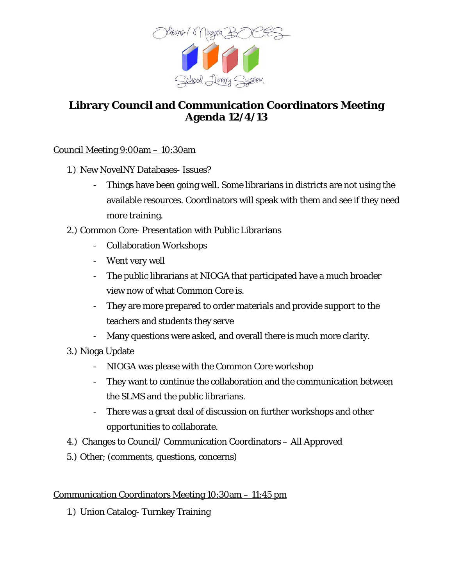

# **Library Council and Communication Coordinators Meeting Agenda 12/4/13**

### Council Meeting 9:00am – 10:30am

- 1.) New NovelNY Databases- Issues?
	- Things have been going well. Some librarians in districts are not using the available resources. Coordinators will speak with them and see if they need more training.
- 2.) Common Core- Presentation with Public Librarians
	- Collaboration Workshops
	- Went very well
	- The public librarians at NIOGA that participated have a much broader view now of what Common Core is.
	- They are more prepared to order materials and provide support to the teachers and students they serve
	- Many questions were asked, and overall there is much more clarity.
- 3.) Nioga Update
	- NIOGA was please with the Common Core workshop
	- They want to continue the collaboration and the communication between the SLMS and the public librarians.
	- There was a great deal of discussion on further workshops and other opportunities to collaborate.
- 4.) Changes to Council/ Communication Coordinators All Approved
- 5.) Other; (comments, questions, concerns)

### Communication Coordinators Meeting 10:30am – 11:45 pm

1.) Union Catalog- Turnkey Training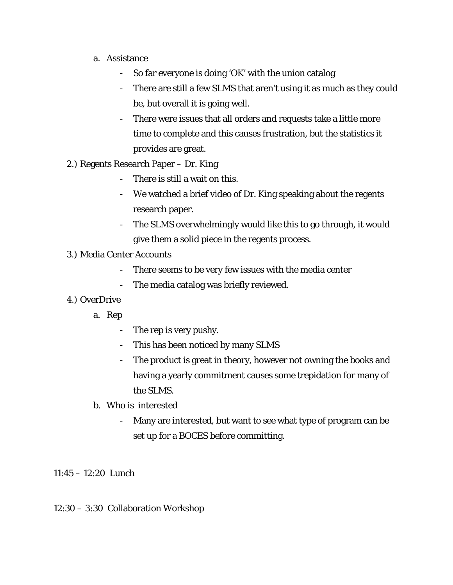- a. Assistance
	- So far everyone is doing 'OK' with the union catalog
	- There are still a few SLMS that aren't using it as much as they could be, but overall it is going well.
	- There were issues that all orders and requests take a little more time to complete and this causes frustration, but the statistics it provides are great.
- 2.) Regents Research Paper Dr. King
	- There is still a wait on this.
	- We watched a brief video of Dr. King speaking about the regents research paper.
	- The SLMS overwhelmingly would like this to go through, it would give them a solid piece in the regents process.

### 3.) Media Center Accounts

- There seems to be very few issues with the media center
- The media catalog was briefly reviewed.

### 4.) OverDrive

- a. Rep
	- The rep is very pushy.
	- This has been noticed by many SLMS
	- The product is great in theory, however not owning the books and having a yearly commitment causes some trepidation for many of the SLMS.
- b. Who is interested
	- Many are interested, but want to see what type of program can be set up for a BOCES before committing.

11:45 – 12:20 Lunch

## 12:30 – 3:30 Collaboration Workshop